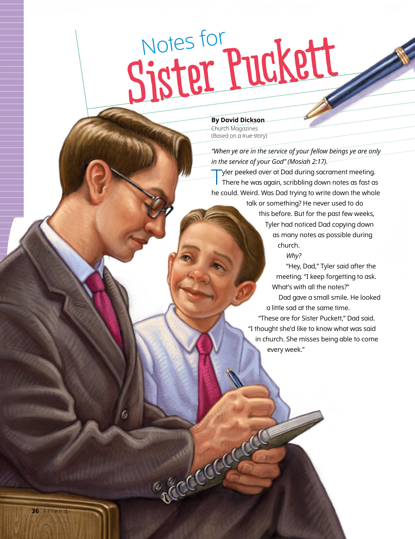## **Sister Puckett** Notes for

**By David Dickson** Church Magazines (Based on a true story)

Accidentation

*"When ye are in the service of your fellow beings ye are only in the service of your God" (Mosiah 2:17).*

Tyler peeked over at Dad during sacrament meeting. There he was again, scribbling down notes as fast as he could. Weird. Was Dad trying to write down the whole

> talk or something? He never used to do this before. But for the past few weeks, Tyler had noticed Dad copying down as many notes as possible during church.

*Why?*

"Hey, Dad," Tyler said after the meeting. "I keep forgetting to ask. What's with all the notes?"

Dad gave a small smile. He looked a little sad at the same time.

"These are for Sister Puckett," Dad said. "I thought she'd like to know what was said in church. She misses being able to come every week."